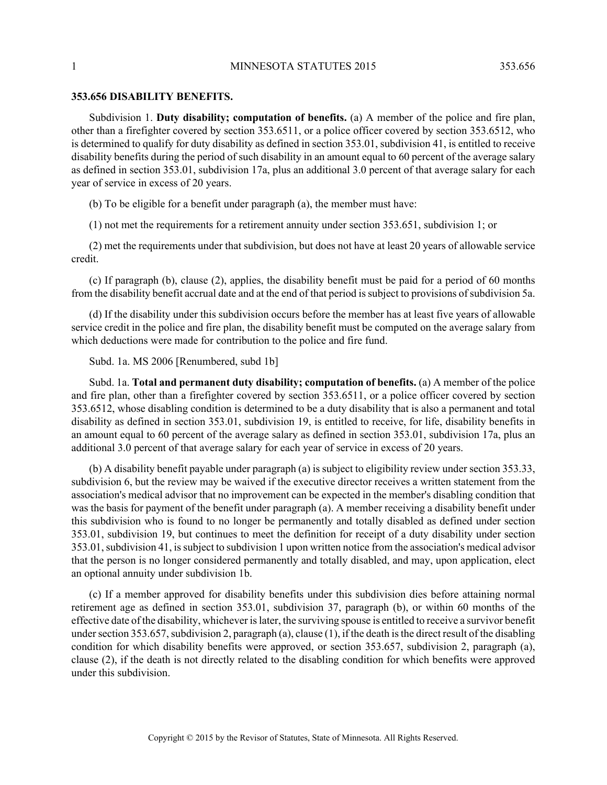## **353.656 DISABILITY BENEFITS.**

Subdivision 1. **Duty disability; computation of benefits.** (a) A member of the police and fire plan, other than a firefighter covered by section 353.6511, or a police officer covered by section 353.6512, who is determined to qualify for duty disability as defined in section 353.01, subdivision 41, is entitled to receive disability benefits during the period of such disability in an amount equal to 60 percent of the average salary as defined in section 353.01, subdivision 17a, plus an additional 3.0 percent of that average salary for each year of service in excess of 20 years.

(b) To be eligible for a benefit under paragraph (a), the member must have:

(1) not met the requirements for a retirement annuity under section 353.651, subdivision 1; or

(2) met the requirements under that subdivision, but does not have at least 20 years of allowable service credit.

(c) If paragraph (b), clause (2), applies, the disability benefit must be paid for a period of 60 months from the disability benefit accrual date and at the end of that period is subject to provisions of subdivision 5a.

(d) If the disability under this subdivision occurs before the member has at least five years of allowable service credit in the police and fire plan, the disability benefit must be computed on the average salary from which deductions were made for contribution to the police and fire fund.

Subd. 1a. MS 2006 [Renumbered, subd 1b]

Subd. 1a. **Total and permanent duty disability; computation of benefits.** (a) A member of the police and fire plan, other than a firefighter covered by section 353.6511, or a police officer covered by section 353.6512, whose disabling condition is determined to be a duty disability that is also a permanent and total disability as defined in section 353.01, subdivision 19, is entitled to receive, for life, disability benefits in an amount equal to 60 percent of the average salary as defined in section 353.01, subdivision 17a, plus an additional 3.0 percent of that average salary for each year of service in excess of 20 years.

(b) A disability benefit payable under paragraph (a) is subject to eligibility review under section 353.33, subdivision 6, but the review may be waived if the executive director receives a written statement from the association's medical advisor that no improvement can be expected in the member's disabling condition that was the basis for payment of the benefit under paragraph (a). A member receiving a disability benefit under this subdivision who is found to no longer be permanently and totally disabled as defined under section 353.01, subdivision 19, but continues to meet the definition for receipt of a duty disability under section 353.01, subdivision 41, is subject to subdivision 1 upon written notice from the association's medical advisor that the person is no longer considered permanently and totally disabled, and may, upon application, elect an optional annuity under subdivision 1b.

(c) If a member approved for disability benefits under this subdivision dies before attaining normal retirement age as defined in section 353.01, subdivision 37, paragraph (b), or within 60 months of the effective date of the disability, whichever is later, the surviving spouse is entitled to receive a survivor benefit under section 353.657, subdivision 2, paragraph (a), clause (1), if the death is the direct result of the disabling condition for which disability benefits were approved, or section 353.657, subdivision 2, paragraph (a), clause (2), if the death is not directly related to the disabling condition for which benefits were approved under this subdivision.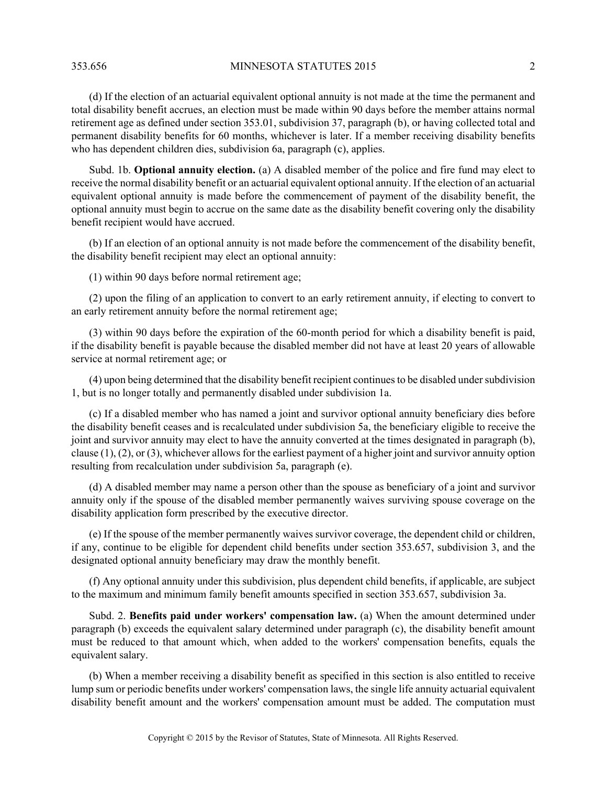353.656 MINNESOTA STATUTES 2015 2

(d) If the election of an actuarial equivalent optional annuity is not made at the time the permanent and total disability benefit accrues, an election must be made within 90 days before the member attains normal retirement age as defined under section 353.01, subdivision 37, paragraph (b), or having collected total and permanent disability benefits for 60 months, whichever is later. If a member receiving disability benefits who has dependent children dies, subdivision 6a, paragraph (c), applies.

Subd. 1b. **Optional annuity election.** (a) A disabled member of the police and fire fund may elect to receive the normal disability benefit or an actuarial equivalent optional annuity. If the election of an actuarial equivalent optional annuity is made before the commencement of payment of the disability benefit, the optional annuity must begin to accrue on the same date as the disability benefit covering only the disability benefit recipient would have accrued.

(b) If an election of an optional annuity is not made before the commencement of the disability benefit, the disability benefit recipient may elect an optional annuity:

(1) within 90 days before normal retirement age;

(2) upon the filing of an application to convert to an early retirement annuity, if electing to convert to an early retirement annuity before the normal retirement age;

(3) within 90 days before the expiration of the 60-month period for which a disability benefit is paid, if the disability benefit is payable because the disabled member did not have at least 20 years of allowable service at normal retirement age; or

(4) upon being determined that the disability benefit recipient continues to be disabled under subdivision 1, but is no longer totally and permanently disabled under subdivision 1a.

(c) If a disabled member who has named a joint and survivor optional annuity beneficiary dies before the disability benefit ceases and is recalculated under subdivision 5a, the beneficiary eligible to receive the joint and survivor annuity may elect to have the annuity converted at the times designated in paragraph (b), clause  $(1)$ ,  $(2)$ , or  $(3)$ , whichever allows for the earliest payment of a higher joint and survivor annuity option resulting from recalculation under subdivision 5a, paragraph (e).

(d) A disabled member may name a person other than the spouse as beneficiary of a joint and survivor annuity only if the spouse of the disabled member permanently waives surviving spouse coverage on the disability application form prescribed by the executive director.

(e) If the spouse of the member permanently waives survivor coverage, the dependent child or children, if any, continue to be eligible for dependent child benefits under section 353.657, subdivision 3, and the designated optional annuity beneficiary may draw the monthly benefit.

(f) Any optional annuity under this subdivision, plus dependent child benefits, if applicable, are subject to the maximum and minimum family benefit amounts specified in section 353.657, subdivision 3a.

Subd. 2. **Benefits paid under workers' compensation law.** (a) When the amount determined under paragraph (b) exceeds the equivalent salary determined under paragraph (c), the disability benefit amount must be reduced to that amount which, when added to the workers' compensation benefits, equals the equivalent salary.

(b) When a member receiving a disability benefit as specified in this section is also entitled to receive lump sum or periodic benefits under workers' compensation laws, the single life annuity actuarial equivalent disability benefit amount and the workers' compensation amount must be added. The computation must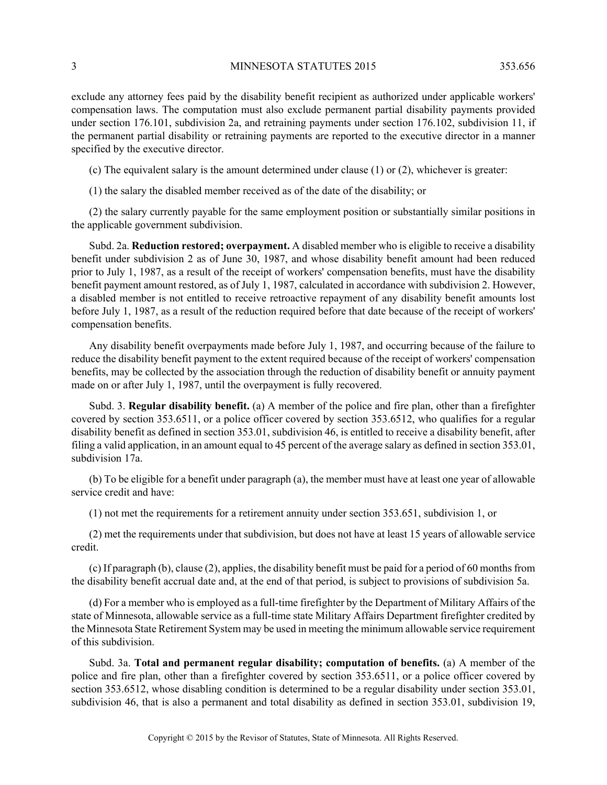exclude any attorney fees paid by the disability benefit recipient as authorized under applicable workers' compensation laws. The computation must also exclude permanent partial disability payments provided under section 176.101, subdivision 2a, and retraining payments under section 176.102, subdivision 11, if the permanent partial disability or retraining payments are reported to the executive director in a manner specified by the executive director.

(c) The equivalent salary is the amount determined under clause (1) or (2), whichever is greater:

(1) the salary the disabled member received as of the date of the disability; or

(2) the salary currently payable for the same employment position or substantially similar positions in the applicable government subdivision.

Subd. 2a. **Reduction restored; overpayment.** A disabled member who is eligible to receive a disability benefit under subdivision 2 as of June 30, 1987, and whose disability benefit amount had been reduced prior to July 1, 1987, as a result of the receipt of workers' compensation benefits, must have the disability benefit payment amount restored, as of July 1, 1987, calculated in accordance with subdivision 2. However, a disabled member is not entitled to receive retroactive repayment of any disability benefit amounts lost before July 1, 1987, as a result of the reduction required before that date because of the receipt of workers' compensation benefits.

Any disability benefit overpayments made before July 1, 1987, and occurring because of the failure to reduce the disability benefit payment to the extent required because of the receipt of workers' compensation benefits, may be collected by the association through the reduction of disability benefit or annuity payment made on or after July 1, 1987, until the overpayment is fully recovered.

Subd. 3. **Regular disability benefit.** (a) A member of the police and fire plan, other than a firefighter covered by section 353.6511, or a police officer covered by section 353.6512, who qualifies for a regular disability benefit as defined in section 353.01, subdivision 46, is entitled to receive a disability benefit, after filing a valid application, in an amount equal to 45 percent of the average salary as defined in section 353.01, subdivision 17a.

(b) To be eligible for a benefit under paragraph (a), the member must have at least one year of allowable service credit and have:

(1) not met the requirements for a retirement annuity under section 353.651, subdivision 1, or

(2) met the requirements under that subdivision, but does not have at least 15 years of allowable service credit.

(c) If paragraph (b), clause (2), applies, the disability benefit must be paid for a period of 60 months from the disability benefit accrual date and, at the end of that period, is subject to provisions of subdivision 5a.

(d) For a member who is employed as a full-time firefighter by the Department of Military Affairs of the state of Minnesota, allowable service as a full-time state Military Affairs Department firefighter credited by the Minnesota State Retirement System may be used in meeting the minimum allowable service requirement of this subdivision.

Subd. 3a. **Total and permanent regular disability; computation of benefits.** (a) A member of the police and fire plan, other than a firefighter covered by section 353.6511, or a police officer covered by section 353.6512, whose disabling condition is determined to be a regular disability under section 353.01, subdivision 46, that is also a permanent and total disability as defined in section 353.01, subdivision 19,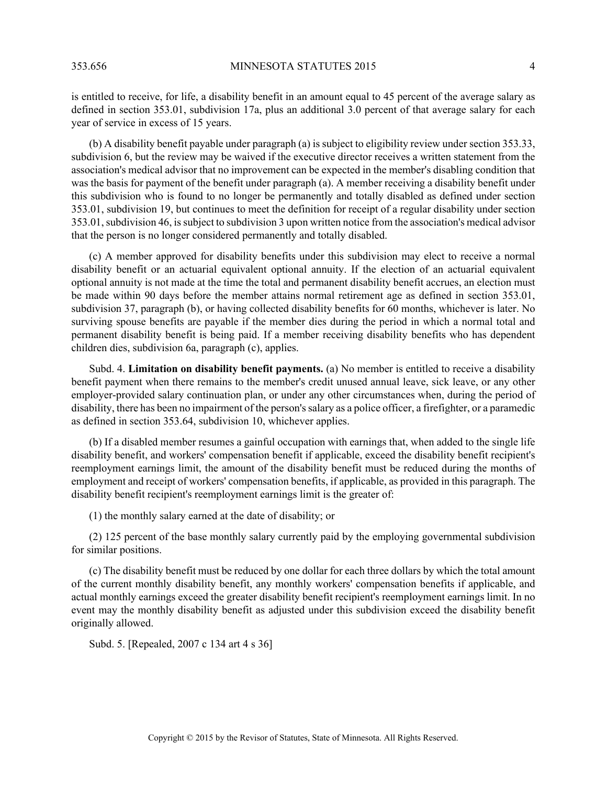is entitled to receive, for life, a disability benefit in an amount equal to 45 percent of the average salary as defined in section 353.01, subdivision 17a, plus an additional 3.0 percent of that average salary for each year of service in excess of 15 years.

(b) A disability benefit payable under paragraph (a) is subject to eligibility review under section 353.33, subdivision 6, but the review may be waived if the executive director receives a written statement from the association's medical advisor that no improvement can be expected in the member's disabling condition that was the basis for payment of the benefit under paragraph (a). A member receiving a disability benefit under this subdivision who is found to no longer be permanently and totally disabled as defined under section 353.01, subdivision 19, but continues to meet the definition for receipt of a regular disability under section 353.01, subdivision 46, is subject to subdivision 3 upon written notice from the association's medical advisor that the person is no longer considered permanently and totally disabled.

(c) A member approved for disability benefits under this subdivision may elect to receive a normal disability benefit or an actuarial equivalent optional annuity. If the election of an actuarial equivalent optional annuity is not made at the time the total and permanent disability benefit accrues, an election must be made within 90 days before the member attains normal retirement age as defined in section 353.01, subdivision 37, paragraph (b), or having collected disability benefits for 60 months, whichever is later. No surviving spouse benefits are payable if the member dies during the period in which a normal total and permanent disability benefit is being paid. If a member receiving disability benefits who has dependent children dies, subdivision 6a, paragraph (c), applies.

Subd. 4. **Limitation on disability benefit payments.** (a) No member is entitled to receive a disability benefit payment when there remains to the member's credit unused annual leave, sick leave, or any other employer-provided salary continuation plan, or under any other circumstances when, during the period of disability, there has been no impairment of the person's salary as a police officer, a firefighter, or a paramedic as defined in section 353.64, subdivision 10, whichever applies.

(b) If a disabled member resumes a gainful occupation with earnings that, when added to the single life disability benefit, and workers' compensation benefit if applicable, exceed the disability benefit recipient's reemployment earnings limit, the amount of the disability benefit must be reduced during the months of employment and receipt of workers' compensation benefits, if applicable, as provided in this paragraph. The disability benefit recipient's reemployment earnings limit is the greater of:

(1) the monthly salary earned at the date of disability; or

(2) 125 percent of the base monthly salary currently paid by the employing governmental subdivision for similar positions.

(c) The disability benefit must be reduced by one dollar for each three dollars by which the total amount of the current monthly disability benefit, any monthly workers' compensation benefits if applicable, and actual monthly earnings exceed the greater disability benefit recipient's reemployment earnings limit. In no event may the monthly disability benefit as adjusted under this subdivision exceed the disability benefit originally allowed.

Subd. 5. [Repealed, 2007 c 134 art 4 s 36]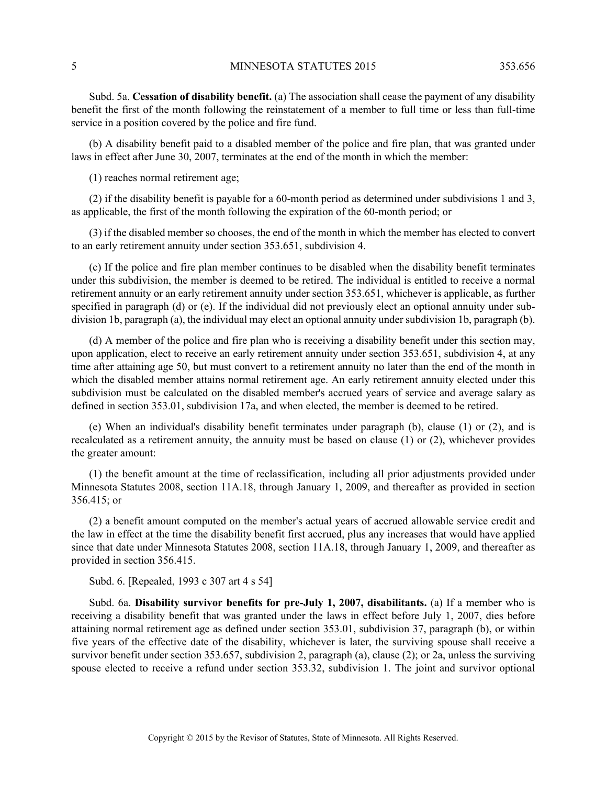Subd. 5a. **Cessation of disability benefit.** (a) The association shall cease the payment of any disability benefit the first of the month following the reinstatement of a member to full time or less than full-time service in a position covered by the police and fire fund.

(b) A disability benefit paid to a disabled member of the police and fire plan, that was granted under laws in effect after June 30, 2007, terminates at the end of the month in which the member:

(1) reaches normal retirement age;

(2) if the disability benefit is payable for a 60-month period as determined under subdivisions 1 and 3, as applicable, the first of the month following the expiration of the 60-month period; or

(3) if the disabled member so chooses, the end of the month in which the member has elected to convert to an early retirement annuity under section 353.651, subdivision 4.

(c) If the police and fire plan member continues to be disabled when the disability benefit terminates under this subdivision, the member is deemed to be retired. The individual is entitled to receive a normal retirement annuity or an early retirement annuity under section 353.651, whichever is applicable, as further specified in paragraph (d) or (e). If the individual did not previously elect an optional annuity under subdivision 1b, paragraph (a), the individual may elect an optional annuity under subdivision 1b, paragraph (b).

(d) A member of the police and fire plan who is receiving a disability benefit under this section may, upon application, elect to receive an early retirement annuity under section 353.651, subdivision 4, at any time after attaining age 50, but must convert to a retirement annuity no later than the end of the month in which the disabled member attains normal retirement age. An early retirement annuity elected under this subdivision must be calculated on the disabled member's accrued years of service and average salary as defined in section 353.01, subdivision 17a, and when elected, the member is deemed to be retired.

(e) When an individual's disability benefit terminates under paragraph (b), clause (1) or (2), and is recalculated as a retirement annuity, the annuity must be based on clause (1) or (2), whichever provides the greater amount:

(1) the benefit amount at the time of reclassification, including all prior adjustments provided under Minnesota Statutes 2008, section 11A.18, through January 1, 2009, and thereafter as provided in section 356.415; or

(2) a benefit amount computed on the member's actual years of accrued allowable service credit and the law in effect at the time the disability benefit first accrued, plus any increases that would have applied since that date under Minnesota Statutes 2008, section 11A.18, through January 1, 2009, and thereafter as provided in section 356.415.

Subd. 6. [Repealed, 1993 c 307 art 4 s 54]

Subd. 6a. **Disability survivor benefits for pre-July 1, 2007, disabilitants.** (a) If a member who is receiving a disability benefit that was granted under the laws in effect before July 1, 2007, dies before attaining normal retirement age as defined under section 353.01, subdivision 37, paragraph (b), or within five years of the effective date of the disability, whichever is later, the surviving spouse shall receive a survivor benefit under section 353.657, subdivision 2, paragraph (a), clause (2); or 2a, unless the surviving spouse elected to receive a refund under section 353.32, subdivision 1. The joint and survivor optional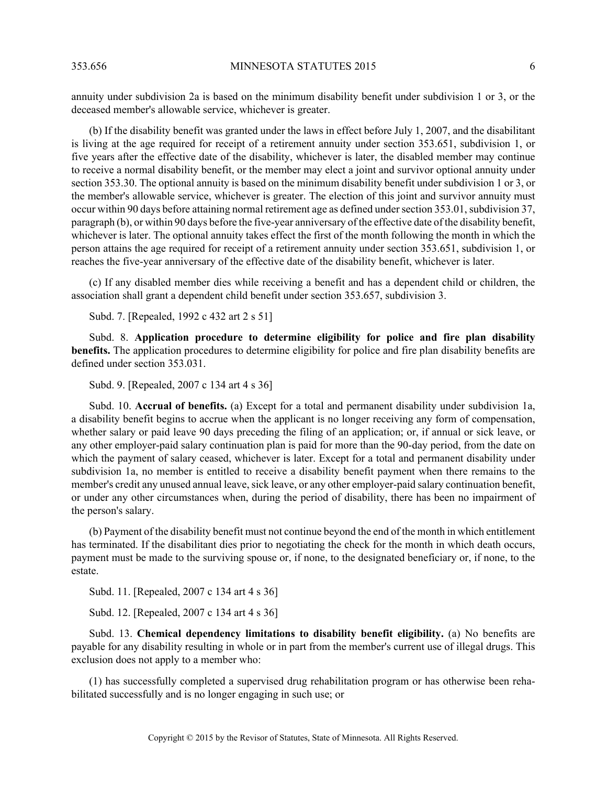annuity under subdivision 2a is based on the minimum disability benefit under subdivision 1 or 3, or the deceased member's allowable service, whichever is greater.

(b) If the disability benefit was granted under the laws in effect before July 1, 2007, and the disabilitant is living at the age required for receipt of a retirement annuity under section 353.651, subdivision 1, or five years after the effective date of the disability, whichever is later, the disabled member may continue to receive a normal disability benefit, or the member may elect a joint and survivor optional annuity under section 353.30. The optional annuity is based on the minimum disability benefit under subdivision 1 or 3, or the member's allowable service, whichever is greater. The election of this joint and survivor annuity must occur within 90 days before attaining normal retirement age as defined under section 353.01, subdivision 37, paragraph (b), or within 90 days before the five-year anniversary of the effective date of the disability benefit, whichever is later. The optional annuity takes effect the first of the month following the month in which the person attains the age required for receipt of a retirement annuity under section 353.651, subdivision 1, or reaches the five-year anniversary of the effective date of the disability benefit, whichever is later.

(c) If any disabled member dies while receiving a benefit and has a dependent child or children, the association shall grant a dependent child benefit under section 353.657, subdivision 3.

Subd. 7. [Repealed, 1992 c 432 art 2 s 51]

Subd. 8. **Application procedure to determine eligibility for police and fire plan disability benefits.** The application procedures to determine eligibility for police and fire plan disability benefits are defined under section 353.031.

Subd. 9. [Repealed, 2007 c 134 art 4 s 36]

Subd. 10. **Accrual of benefits.** (a) Except for a total and permanent disability under subdivision 1a, a disability benefit begins to accrue when the applicant is no longer receiving any form of compensation, whether salary or paid leave 90 days preceding the filing of an application; or, if annual or sick leave, or any other employer-paid salary continuation plan is paid for more than the 90-day period, from the date on which the payment of salary ceased, whichever is later. Except for a total and permanent disability under subdivision 1a, no member is entitled to receive a disability benefit payment when there remains to the member's credit any unused annual leave, sick leave, or any other employer-paid salary continuation benefit, or under any other circumstances when, during the period of disability, there has been no impairment of the person's salary.

(b) Payment of the disability benefit must not continue beyond the end of the month in which entitlement has terminated. If the disabilitant dies prior to negotiating the check for the month in which death occurs, payment must be made to the surviving spouse or, if none, to the designated beneficiary or, if none, to the estate.

Subd. 11. [Repealed, 2007 c 134 art 4 s 36]

Subd. 12. [Repealed, 2007 c 134 art 4 s 36]

Subd. 13. **Chemical dependency limitations to disability benefit eligibility.** (a) No benefits are payable for any disability resulting in whole or in part from the member's current use of illegal drugs. This exclusion does not apply to a member who:

(1) has successfully completed a supervised drug rehabilitation program or has otherwise been rehabilitated successfully and is no longer engaging in such use; or